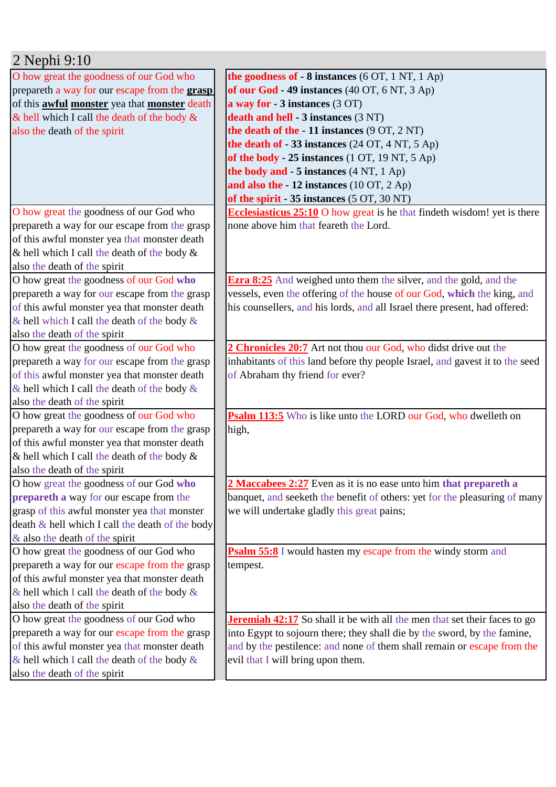| 2 Nephi 9:10                                               |                                                                                  |
|------------------------------------------------------------|----------------------------------------------------------------------------------|
| O how great the goodness of our God who                    | the goodness of $-8$ instances (6 OT, 1 NT, 1 Ap)                                |
| prepareth a way for our escape from the <b>grasp</b>       | of our God - 49 instances (40 OT, 6 NT, 3 Ap)                                    |
| of this <b>awful monster</b> yea that <b>monster</b> death | a way for $-3$ instances $(3 OT)$                                                |
| & hell which I call the death of the body $\&$             | death and hell - 3 instances (3 NT)                                              |
| also the death of the spirit                               | the death of the $-11$ instances $(9 \text{ OT}, 2 \text{ NT})$                  |
|                                                            | the death of - 33 instances (24 OT, 4 NT, 5 Ap)                                  |
|                                                            | of the body - 25 instances (1 OT, 19 NT, 5 Ap)                                   |
|                                                            | the body and - 5 instances (4 NT, 1 Ap)                                          |
|                                                            | and also the $-12$ instances (10 OT, 2 Ap)                                       |
|                                                            | of the spirit - 35 instances (5 OT, 30 NT)                                       |
| O how great the goodness of our God who                    | <b>Ecclesiasticus 25:10</b> O how great is he that findeth wisdom! yet is there  |
| prepareth a way for our escape from the grasp              | none above him that feareth the Lord.                                            |
| of this awful monster yea that monster death               |                                                                                  |
| & hell which I call the death of the body $\&$             |                                                                                  |
| also the death of the spirit                               |                                                                                  |
| O how great the goodness of our God who                    | <b>Ezra 8:25</b> And weighed unto them the silver, and the gold, and the         |
| prepareth a way for our escape from the grasp              | vessels, even the offering of the house of our God, which the king, and          |
| of this awful monster yea that monster death               | his counsellers, and his lords, and all Israel there present, had offered:       |
| & hell which I call the death of the body &                |                                                                                  |
| also the death of the spirit                               |                                                                                  |
| O how great the goodness of our God who                    | 2 Chronicles 20:7 Art not thou our God, who didst drive out the                  |
| prepareth a way for our escape from the grasp              | inhabitants of this land before thy people Israel, and gavest it to the seed     |
| of this awful monster yea that monster death               | of Abraham thy friend for ever?                                                  |
| & hell which I call the death of the body &                |                                                                                  |
| also the death of the spirit                               |                                                                                  |
| O how great the goodness of our God who                    | <b>Psalm 113:5</b> Who is like unto the LORD our God, who dwelleth on            |
| prepareth a way for our escape from the grasp              | high,                                                                            |
| of this awful monster yea that monster death               |                                                                                  |
| & hell which I call the death of the body $\&$             |                                                                                  |
| also the death of the spirit                               |                                                                                  |
| O how great the goodness of our God who                    | 2 Maccabees 2:27 Even as it is no ease unto him that prepareth a                 |
| prepareth a way for our escape from the                    | banquet, and seeketh the benefit of others: yet for the pleasuring of many       |
| grasp of this awful monster yea that monster               | we will undertake gladly this great pains;                                       |
| death $\&$ hell which I call the death of the body         |                                                                                  |
| $\&$ also the death of the spirit                          |                                                                                  |
| O how great the goodness of our God who                    | <b>Psalm 55:8</b> I would hasten my escape from the windy storm and              |
| prepareth a way for our escape from the grasp              | tempest.                                                                         |
| of this awful monster yea that monster death               |                                                                                  |
| & hell which I call the death of the body &                |                                                                                  |
| also the death of the spirit                               |                                                                                  |
| O how great the goodness of our God who                    | <b>Jeremiah 42:17</b> So shall it be with all the men that set their faces to go |
| prepareth a way for our escape from the grasp              | into Egypt to sojourn there; they shall die by the sword, by the famine,         |
| of this awful monster yea that monster death               | and by the pestilence: and none of them shall remain or escape from the          |
| & hell which I call the death of the body $\&$             | evil that I will bring upon them.                                                |
| also the death of the spirit                               |                                                                                  |